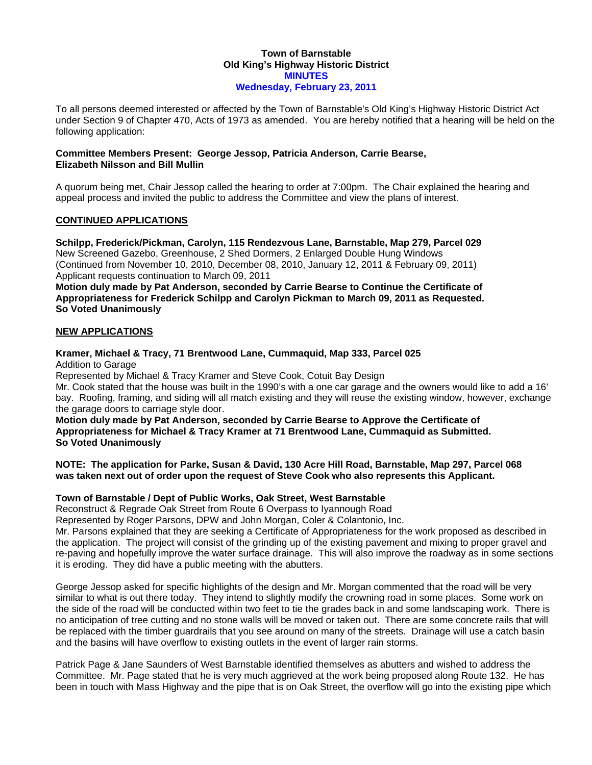#### **Town of Barnstable Old King's Highway Historic District MINUTES Wednesday, February 23, 2011**

To all persons deemed interested or affected by the Town of Barnstable's Old King's Highway Historic District Act under Section 9 of Chapter 470, Acts of 1973 as amended. You are hereby notified that a hearing will be held on the following application:

## **Committee Members Present: George Jessop, Patricia Anderson, Carrie Bearse, Elizabeth Nilsson and Bill Mullin**

A quorum being met, Chair Jessop called the hearing to order at 7:00pm. The Chair explained the hearing and appeal process and invited the public to address the Committee and view the plans of interest.

# **CONTINUED APPLICATIONS**

**Schilpp, Frederick/Pickman, Carolyn, 115 Rendezvous Lane, Barnstable, Map 279, Parcel 029**  New Screened Gazebo, Greenhouse, 2 Shed Dormers, 2 Enlarged Double Hung Windows (Continued from November 10, 2010, December 08, 2010, January 12, 2011 & February 09, 2011) Applicant requests continuation to March 09, 2011

**Motion duly made by Pat Anderson, seconded by Carrie Bearse to Continue the Certificate of Appropriateness for Frederick Schilpp and Carolyn Pickman to March 09, 2011 as Requested. So Voted Unanimously** 

# **NEW APPLICATIONS**

#### **Kramer, Michael & Tracy, 71 Brentwood Lane, Cummaquid, Map 333, Parcel 025**  Addition to Garage

Represented by Michael & Tracy Kramer and Steve Cook, Cotuit Bay Design

Mr. Cook stated that the house was built in the 1990's with a one car garage and the owners would like to add a 16' bay. Roofing, framing, and siding will all match existing and they will reuse the existing window, however, exchange the garage doors to carriage style door.

**Motion duly made by Pat Anderson, seconded by Carrie Bearse to Approve the Certificate of Appropriateness for Michael & Tracy Kramer at 71 Brentwood Lane, Cummaquid as Submitted. So Voted Unanimously** 

**NOTE: The application for Parke, Susan & David, 130 Acre Hill Road, Barnstable, Map 297, Parcel 068 was taken next out of order upon the request of Steve Cook who also represents this Applicant.** 

## **Town of Barnstable / Dept of Public Works, Oak Street, West Barnstable**

Reconstruct & Regrade Oak Street from Route 6 Overpass to Iyannough Road

Represented by Roger Parsons, DPW and John Morgan, Coler & Colantonio, Inc.

Mr. Parsons explained that they are seeking a Certificate of Appropriateness for the work proposed as described in the application. The project will consist of the grinding up of the existing pavement and mixing to proper gravel and re-paving and hopefully improve the water surface drainage. This will also improve the roadway as in some sections it is eroding. They did have a public meeting with the abutters.

George Jessop asked for specific highlights of the design and Mr. Morgan commented that the road will be very similar to what is out there today. They intend to slightly modify the crowning road in some places. Some work on the side of the road will be conducted within two feet to tie the grades back in and some landscaping work. There is no anticipation of tree cutting and no stone walls will be moved or taken out. There are some concrete rails that will be replaced with the timber guardrails that you see around on many of the streets. Drainage will use a catch basin and the basins will have overflow to existing outlets in the event of larger rain storms.

Patrick Page & Jane Saunders of West Barnstable identified themselves as abutters and wished to address the Committee. Mr. Page stated that he is very much aggrieved at the work being proposed along Route 132. He has been in touch with Mass Highway and the pipe that is on Oak Street, the overflow will go into the existing pipe which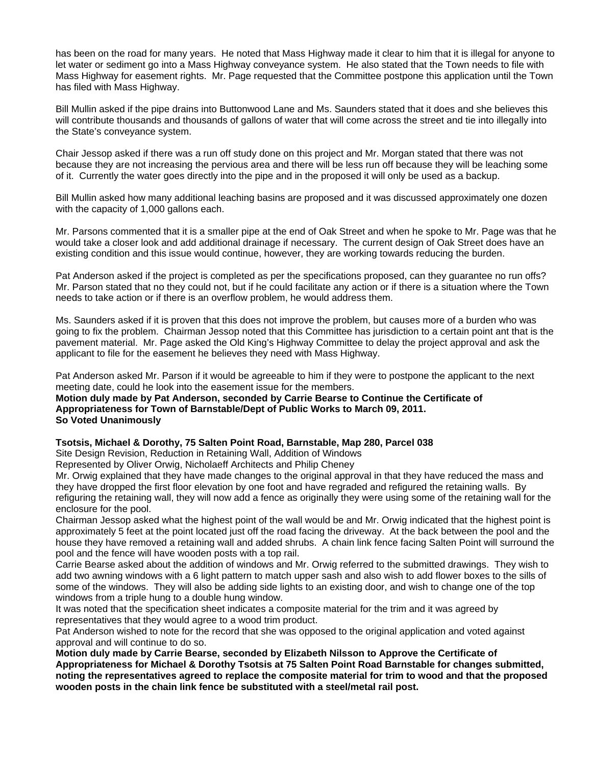has been on the road for many years. He noted that Mass Highway made it clear to him that it is illegal for anyone to let water or sediment go into a Mass Highway conveyance system. He also stated that the Town needs to file with Mass Highway for easement rights. Mr. Page requested that the Committee postpone this application until the Town has filed with Mass Highway.

Bill Mullin asked if the pipe drains into Buttonwood Lane and Ms. Saunders stated that it does and she believes this will contribute thousands and thousands of gallons of water that will come across the street and tie into illegally into the State's conveyance system.

Chair Jessop asked if there was a run off study done on this project and Mr. Morgan stated that there was not because they are not increasing the pervious area and there will be less run off because they will be leaching some of it. Currently the water goes directly into the pipe and in the proposed it will only be used as a backup.

Bill Mullin asked how many additional leaching basins are proposed and it was discussed approximately one dozen with the capacity of 1,000 gallons each.

Mr. Parsons commented that it is a smaller pipe at the end of Oak Street and when he spoke to Mr. Page was that he would take a closer look and add additional drainage if necessary. The current design of Oak Street does have an existing condition and this issue would continue, however, they are working towards reducing the burden.

Pat Anderson asked if the project is completed as per the specifications proposed, can they guarantee no run offs? Mr. Parson stated that no they could not, but if he could facilitate any action or if there is a situation where the Town needs to take action or if there is an overflow problem, he would address them.

Ms. Saunders asked if it is proven that this does not improve the problem, but causes more of a burden who was going to fix the problem. Chairman Jessop noted that this Committee has jurisdiction to a certain point ant that is the pavement material. Mr. Page asked the Old King's Highway Committee to delay the project approval and ask the applicant to file for the easement he believes they need with Mass Highway.

Pat Anderson asked Mr. Parson if it would be agreeable to him if they were to postpone the applicant to the next meeting date, could he look into the easement issue for the members.

**Motion duly made by Pat Anderson, seconded by Carrie Bearse to Continue the Certificate of Appropriateness for Town of Barnstable/Dept of Public Works to March 09, 2011. So Voted Unanimously** 

## **Tsotsis, Michael & Dorothy, 75 Salten Point Road, Barnstable, Map 280, Parcel 038**

Site Design Revision, Reduction in Retaining Wall, Addition of Windows

Represented by Oliver Orwig, Nicholaeff Architects and Philip Cheney

Mr. Orwig explained that they have made changes to the original approval in that they have reduced the mass and they have dropped the first floor elevation by one foot and have regraded and refigured the retaining walls. By refiguring the retaining wall, they will now add a fence as originally they were using some of the retaining wall for the enclosure for the pool.

Chairman Jessop asked what the highest point of the wall would be and Mr. Orwig indicated that the highest point is approximately 5 feet at the point located just off the road facing the driveway. At the back between the pool and the house they have removed a retaining wall and added shrubs. A chain link fence facing Salten Point will surround the pool and the fence will have wooden posts with a top rail.

Carrie Bearse asked about the addition of windows and Mr. Orwig referred to the submitted drawings. They wish to add two awning windows with a 6 light pattern to match upper sash and also wish to add flower boxes to the sills of some of the windows. They will also be adding side lights to an existing door, and wish to change one of the top windows from a triple hung to a double hung window.

It was noted that the specification sheet indicates a composite material for the trim and it was agreed by representatives that they would agree to a wood trim product.

Pat Anderson wished to note for the record that she was opposed to the original application and voted against approval and will continue to do so.

**Motion duly made by Carrie Bearse, seconded by Elizabeth Nilsson to Approve the Certificate of Appropriateness for Michael & Dorothy Tsotsis at 75 Salten Point Road Barnstable for changes submitted, noting the representatives agreed to replace the composite material for trim to wood and that the proposed wooden posts in the chain link fence be substituted with a steel/metal rail post.**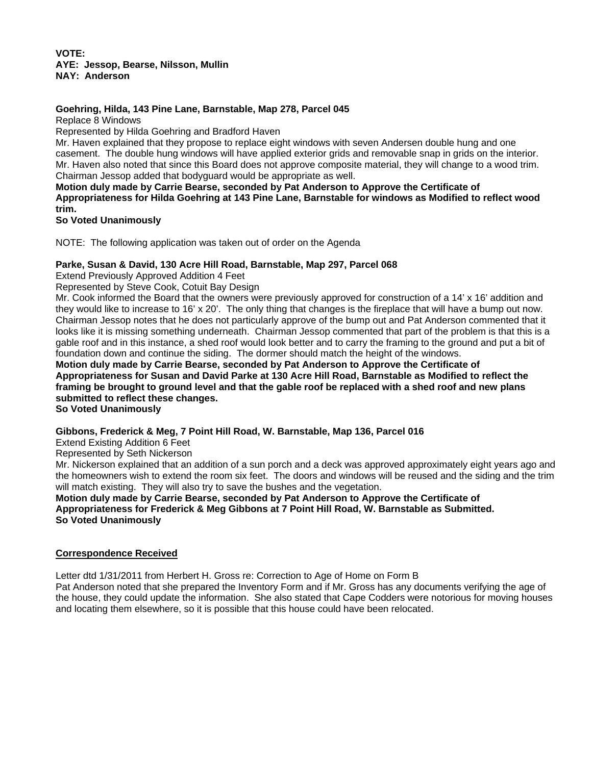#### **VOTE: AYE: Jessop, Bearse, Nilsson, Mullin NAY: Anderson**

# **Goehring, Hilda, 143 Pine Lane, Barnstable, Map 278, Parcel 045**

Replace 8 Windows

Represented by Hilda Goehring and Bradford Haven

Mr. Haven explained that they propose to replace eight windows with seven Andersen double hung and one casement. The double hung windows will have applied exterior grids and removable snap in grids on the interior. Mr. Haven also noted that since this Board does not approve composite material, they will change to a wood trim. Chairman Jessop added that bodyguard would be appropriate as well.

**Motion duly made by Carrie Bearse, seconded by Pat Anderson to Approve the Certificate of Appropriateness for Hilda Goehring at 143 Pine Lane, Barnstable for windows as Modified to reflect wood trim.** 

**So Voted Unanimously** 

NOTE: The following application was taken out of order on the Agenda

# **Parke, Susan & David, 130 Acre Hill Road, Barnstable, Map 297, Parcel 068**

Extend Previously Approved Addition 4 Feet

Represented by Steve Cook, Cotuit Bay Design

Mr. Cook informed the Board that the owners were previously approved for construction of a 14' x 16' addition and they would like to increase to 16' x 20'. The only thing that changes is the fireplace that will have a bump out now. Chairman Jessop notes that he does not particularly approve of the bump out and Pat Anderson commented that it looks like it is missing something underneath. Chairman Jessop commented that part of the problem is that this is a gable roof and in this instance, a shed roof would look better and to carry the framing to the ground and put a bit of foundation down and continue the siding. The dormer should match the height of the windows.

**Motion duly made by Carrie Bearse, seconded by Pat Anderson to Approve the Certificate of Appropriateness for Susan and David Parke at 130 Acre Hill Road, Barnstable as Modified to reflect the framing be brought to ground level and that the gable roof be replaced with a shed roof and new plans submitted to reflect these changes.** 

**So Voted Unanimously** 

**Gibbons, Frederick & Meg, 7 Point Hill Road, W. Barnstable, Map 136, Parcel 016** 

Extend Existing Addition 6 Feet

Represented by Seth Nickerson

Mr. Nickerson explained that an addition of a sun porch and a deck was approved approximately eight years ago and the homeowners wish to extend the room six feet. The doors and windows will be reused and the siding and the trim will match existing. They will also try to save the bushes and the vegetation.

**Motion duly made by Carrie Bearse, seconded by Pat Anderson to Approve the Certificate of Appropriateness for Frederick & Meg Gibbons at 7 Point Hill Road, W. Barnstable as Submitted. So Voted Unanimously** 

## **Correspondence Received**

Letter dtd 1/31/2011 from Herbert H. Gross re: Correction to Age of Home on Form B

Pat Anderson noted that she prepared the Inventory Form and if Mr. Gross has any documents verifying the age of the house, they could update the information. She also stated that Cape Codders were notorious for moving houses and locating them elsewhere, so it is possible that this house could have been relocated.